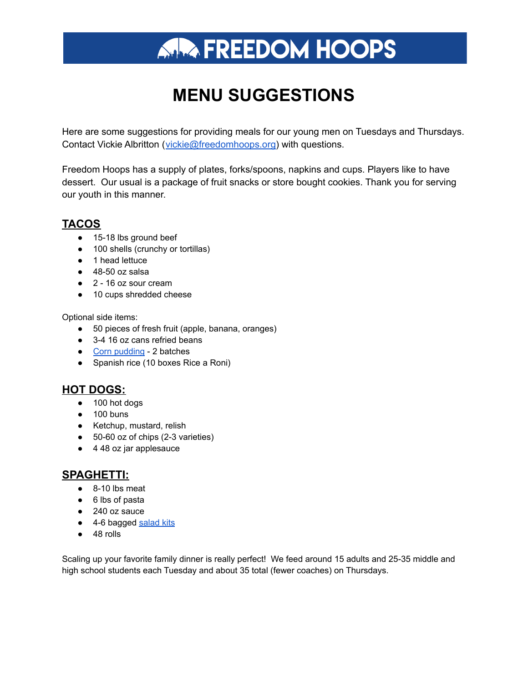# **ARIA FREEDOM HOOPS**

# **MENU SUGGESTIONS**

Here are some suggestions for providing meals for our young men on Tuesdays and Thursdays. Contact Vickie Albritton ([vickie@freedomhoops.org](mailto:vickie@freedomhoops.org)) with questions.

Freedom Hoops has a supply of plates, forks/spoons, napkins and cups. Players like to have dessert. Our usual is a package of fruit snacks or store bought cookies. Thank you for serving our youth in this manner.

# **TACOS**

- 15-18 lbs ground beef
- 100 shells (crunchy or tortillas)
- 1 head lettuce
- $\bullet$  48-50 oz salsa
- 2 16 oz sour cream
- 10 cups shredded cheese

Optional side items:

- 50 pieces of fresh fruit (apple, banana, oranges)
- 3-4 16 oz cans refried beans
- Corn [pudding](https://www.backtomysouthernroots.com/jiffy-corn-pudding/) 2 batches
- Spanish rice (10 boxes Rice a Roni)

## **HOT DOGS:**

- 100 hot dogs
- 100 buns
- Ketchup, mustard, relish
- 50-60 oz of chips (2-3 varieties)
- 448 oz jar applesauce

### **SPAGHETTI:**

- $\bullet$  8-10 lbs meat
- 6 lbs of pasta
- 240 oz sauce
- 4-6 bagged [salad](https://www.walmart.com/ip/Marketside-Caesar-Salad-Kit-11-55-oz/16935784) kits
- 48 rolls

Scaling up your favorite family dinner is really perfect! We feed around 15 adults and 25-35 middle and high school students each Tuesday and about 35 total (fewer coaches) on Thursdays.